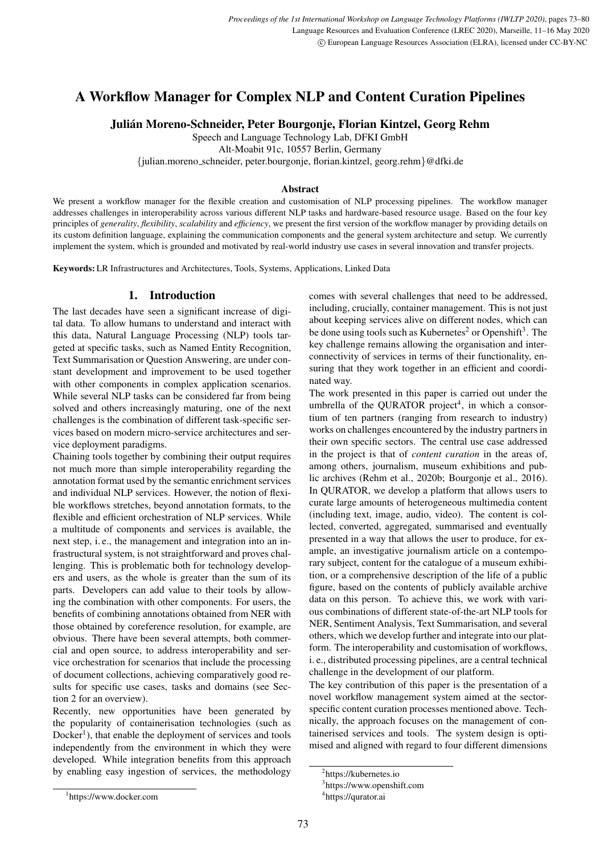## A Workflow Manager for Complex NLP and Content Curation Pipelines

Julian Moreno-Schneider, Peter Bourgonje, Florian Kintzel, Georg Rehm ´

Speech and Language Technology Lab, DFKI GmbH

Alt-Moabit 91c, 10557 Berlin, Germany

{julian.moreno schneider, peter.bourgonje, florian.kintzel, georg.rehm}@dfki.de

## Abstract

We present a workflow manager for the flexible creation and customisation of NLP processing pipelines. The workflow manager addresses challenges in interoperability across various different NLP tasks and hardware-based resource usage. Based on the four key principles of *generality*, *flexibility*, *scalability* and *efficiency*, we present the first version of the workflow manager by providing details on its custom definition language, explaining the communication components and the general system architecture and setup. We currently implement the system, which is grounded and motivated by real-world industry use cases in several innovation and transfer projects.

Keywords: LR Infrastructures and Architectures, Tools, Systems, Applications, Linked Data

## 1. Introduction

The last decades have seen a significant increase of digital data. To allow humans to understand and interact with this data, Natural Language Processing (NLP) tools targeted at specific tasks, such as Named Entity Recognition, Text Summarisation or Question Answering, are under constant development and improvement to be used together with other components in complex application scenarios. While several NLP tasks can be considered far from being solved and others increasingly maturing, one of the next challenges is the combination of different task-specific services based on modern micro-service architectures and service deployment paradigms.

Chaining tools together by combining their output requires not much more than simple interoperability regarding the annotation format used by the semantic enrichment services and individual NLP services. However, the notion of flexible workflows stretches, beyond annotation formats, to the flexible and efficient orchestration of NLP services. While a multitude of components and services is available, the next step, i. e., the management and integration into an infrastructural system, is not straightforward and proves challenging. This is problematic both for technology developers and users, as the whole is greater than the sum of its parts. Developers can add value to their tools by allowing the combination with other components. For users, the benefits of combining annotations obtained from NER with those obtained by coreference resolution, for example, are obvious. There have been several attempts, both commercial and open source, to address interoperability and service orchestration for scenarios that include the processing of document collections, achieving comparatively good results for specific use cases, tasks and domains (see Section [2](#page-1-0) for an overview).

Recently, new opportunities have been generated by the popularity of containerisation technologies (such as Docker<sup>[1](#page-0-0)</sup>), that enable the deployment of services and tools independently from the environment in which they were developed. While integration benefits from this approach by enabling easy ingestion of services, the methodology

comes with several challenges that need to be addressed, including, crucially, container management. This is not just about keeping services alive on different nodes, which can be done using tools such as Kubernetes<sup>[2](#page-0-1)</sup> or Openshift<sup>[3](#page-0-2)</sup>. The key challenge remains allowing the organisation and interconnectivity of services in terms of their functionality, ensuring that they work together in an efficient and coordinated way.

The work presented in this paper is carried out under the umbrella of the QURATOR project $4$ , in which a consortium of ten partners (ranging from research to industry) works on challenges encountered by the industry partners in their own specific sectors. The central use case addressed in the project is that of *content curation* in the areas of, among others, journalism, museum exhibitions and public archives [\(Rehm et al., 2020b;](#page-6-0) [Bourgonje et al., 2016\)](#page-5-0). In QURATOR, we develop a platform that allows users to curate large amounts of heterogeneous multimedia content (including text, image, audio, video). The content is collected, converted, aggregated, summarised and eventually presented in a way that allows the user to produce, for example, an investigative journalism article on a contemporary subject, content for the catalogue of a museum exhibition, or a comprehensive description of the life of a public figure, based on the contents of publicly available archive data on this person. To achieve this, we work with various combinations of different state-of-the-art NLP tools for NER, Sentiment Analysis, Text Summarisation, and several others, which we develop further and integrate into our platform. The interoperability and customisation of workflows, i. e., distributed processing pipelines, are a central technical challenge in the development of our platform.

The key contribution of this paper is the presentation of a novel workflow management system aimed at the sectorspecific content curation processes mentioned above. Technically, the approach focuses on the management of containerised services and tools. The system design is optimised and aligned with regard to four different dimensions

<span id="page-0-1"></span><sup>&</sup>lt;sup>2</sup><https://kubernetes.io>

<span id="page-0-2"></span><sup>3</sup> <https://www.openshift.com>

<span id="page-0-3"></span><sup>4</sup> <https://qurator.ai>

<span id="page-0-0"></span><sup>1</sup> <https://www.docker.com>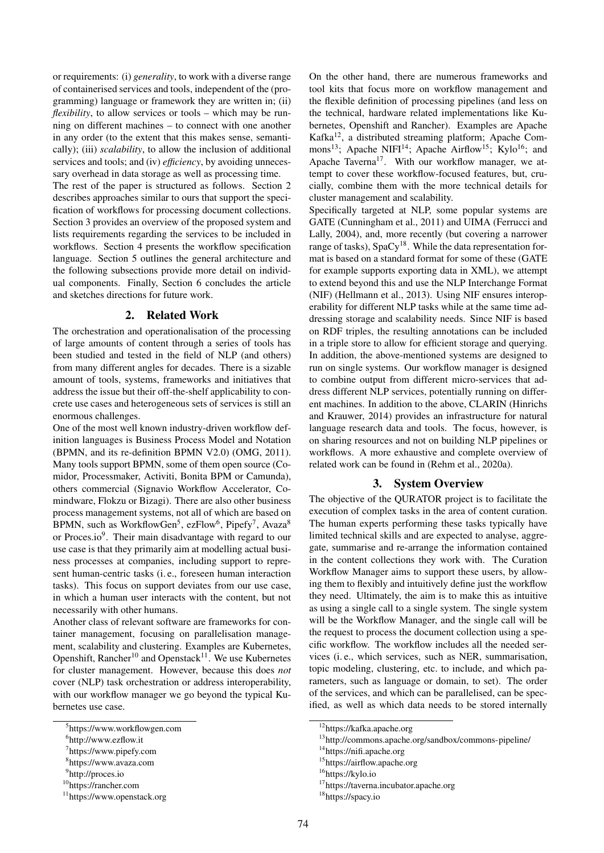or requirements: (i) *generality*, to work with a diverse range of containerised services and tools, independent of the (programming) language or framework they are written in; (ii) *flexibility*, to allow services or tools – which may be running on different machines – to connect with one another in any order (to the extent that this makes sense, semantically); (iii) *scalability*, to allow the inclusion of additional services and tools; and (iv) *efficiency*, by avoiding unnecessary overhead in data storage as well as processing time.

The rest of the paper is structured as follows. Section [2](#page-1-0) describes approaches similar to ours that support the specification of workflows for processing document collections. Section [3](#page-1-1) provides an overview of the proposed system and lists requirements regarding the services to be included in workflows. Section [4](#page-2-0) presents the workflow specification language. Section [5](#page-3-0) outlines the general architecture and the following subsections provide more detail on individual components. Finally, Section [6](#page-4-0) concludes the article and sketches directions for future work.

## 2. Related Work

<span id="page-1-0"></span>The orchestration and operationalisation of the processing of large amounts of content through a series of tools has been studied and tested in the field of NLP (and others) from many different angles for decades. There is a sizable amount of tools, systems, frameworks and initiatives that address the issue but their off-the-shelf applicability to concrete use cases and heterogeneous sets of services is still an enormous challenges.

One of the most well known industry-driven workflow definition languages is Business Process Model and Notation (BPMN, and its re-definition BPMN V2.0) [\(OMG, 2011\)](#page-6-1). Many tools support BPMN, some of them open source (Comidor, Processmaker, Activiti, Bonita BPM or Camunda), others commercial (Signavio Workflow Accelerator, Comindware, Flokzu or Bizagi). There are also other business process management systems, not all of which are based on BPMN, such as WorkflowGen<sup>[5](#page-1-2)</sup>, ezFlow<sup>[6](#page-1-3)</sup>, Pipefy<sup>[7](#page-1-4)</sup>, Avaza<sup>[8](#page-1-5)</sup> or Proces.io<sup>[9](#page-1-6)</sup>. Their main disadvantage with regard to our use case is that they primarily aim at modelling actual business processes at companies, including support to represent human-centric tasks (i. e., foreseen human interaction tasks). This focus on support deviates from our use case, in which a human user interacts with the content, but not necessarily with other humans.

Another class of relevant software are frameworks for container management, focusing on parallelisation management, scalability and clustering. Examples are Kubernetes, Openshift,  $Random<sup>10</sup>$  $Random<sup>10</sup>$  $Random<sup>10</sup>$  and Openstack<sup>[11](#page-1-8)</sup>. We use Kubernetes for cluster management. However, because this does *not* cover (NLP) task orchestration or address interoperability, with our workflow manager we go beyond the typical Kubernetes use case.

On the other hand, there are numerous frameworks and tool kits that focus more on workflow management and the flexible definition of processing pipelines (and less on the technical, hardware related implementations like Kubernetes, Openshift and Rancher). Examples are Apache Kafka[12](#page-1-9), a distributed streaming platform; Apache Com-mons<sup>[13](#page-1-10)</sup>; Apache NIFI<sup>[14](#page-1-11)</sup>; Apache Airflow<sup>[15](#page-1-12)</sup>; Kylo<sup>[16](#page-1-13)</sup>; and Apache Taverna<sup>[17](#page-1-14)</sup>. With our workflow manager, we attempt to cover these workflow-focused features, but, crucially, combine them with the more technical details for cluster management and scalability.

Specifically targeted at NLP, some popular systems are GATE [\(Cunningham et al., 2011\)](#page-5-1) and UIMA [\(Ferrucci and](#page-5-2) [Lally, 2004\)](#page-5-2), and, more recently (but covering a narrower range of tasks),  $SpaCy<sup>18</sup>$  $SpaCy<sup>18</sup>$  $SpaCy<sup>18</sup>$ . While the data representation format is based on a standard format for some of these (GATE for example supports exporting data in XML), we attempt to extend beyond this and use the NLP Interchange Format (NIF) [\(Hellmann et al., 2013\)](#page-5-3). Using NIF ensures interoperability for different NLP tasks while at the same time addressing storage and scalability needs. Since NIF is based on RDF triples, the resulting annotations can be included in a triple store to allow for efficient storage and querying. In addition, the above-mentioned systems are designed to run on single systems. Our workflow manager is designed to combine output from different micro-services that address different NLP services, potentially running on different machines. In addition to the above, CLARIN [\(Hinrichs](#page-5-4) [and Krauwer, 2014\)](#page-5-4) provides an infrastructure for natural language research data and tools. The focus, however, is on sharing resources and not on building NLP pipelines or workflows. A more exhaustive and complete overview of related work can be found in [\(Rehm et al., 2020a\)](#page-6-2).

## 3. System Overview

<span id="page-1-1"></span>The objective of the QURATOR project is to facilitate the execution of complex tasks in the area of content curation. The human experts performing these tasks typically have limited technical skills and are expected to analyse, aggregate, summarise and re-arrange the information contained in the content collections they work with. The Curation Workflow Manager aims to support these users, by allowing them to flexibly and intuitively define just the workflow they need. Ultimately, the aim is to make this as intuitive as using a single call to a single system. The single system will be the Workflow Manager, and the single call will be the request to process the document collection using a specific workflow. The workflow includes all the needed services (i. e., which services, such as NER, summarisation, topic modeling, clustering, etc. to include, and which parameters, such as language or domain, to set). The order of the services, and which can be parallelised, can be specified, as well as which data needs to be stored internally

<span id="page-1-2"></span><sup>5</sup> <https://www.workflowgen.com>

<span id="page-1-3"></span><sup>6</sup> <http://www.ezflow.it>

<span id="page-1-4"></span><sup>7</sup> <https://www.pipefy.com>

<span id="page-1-5"></span><sup>8</sup> <https://www.avaza.com>

<span id="page-1-6"></span><sup>&</sup>lt;sup>9</sup><http://proces.io>

<span id="page-1-7"></span><sup>10</sup><https://rancher.com>

<span id="page-1-8"></span><sup>11</sup><https://www.openstack.org>

<span id="page-1-9"></span><sup>12</sup><https://kafka.apache.org>

<span id="page-1-10"></span><sup>13</sup><http://commons.apache.org/sandbox/commons-pipeline/>

<span id="page-1-11"></span><sup>14</sup><https://nifi.apache.org>

<span id="page-1-12"></span><sup>15</sup><https://airflow.apache.org>

<span id="page-1-13"></span><sup>16</sup><https://kylo.io>

<span id="page-1-14"></span><sup>&</sup>lt;sup>17</sup><https://taverna.incubator.apache.org>

<span id="page-1-15"></span><sup>18</sup><https://spacy.io>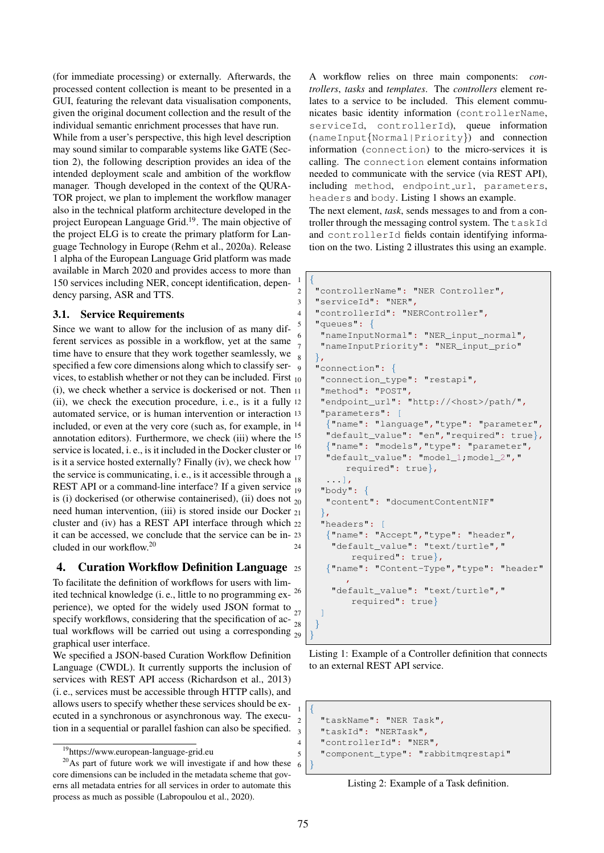(for immediate processing) or externally. Afterwards, the processed content collection is meant to be presented in a GUI, featuring the relevant data visualisation components, given the original document collection and the result of the individual semantic enrichment processes that have run.

While from a user's perspective, this high level description may sound similar to comparable systems like GATE (Section [2\)](#page-1-0), the following description provides an idea of the intended deployment scale and ambition of the workflow manager. Though developed in the context of the QURA-TOR project, we plan to implement the workflow manager also in the technical platform architecture developed in the project European Language Grid.<sup>[19](#page-2-1)</sup>. The main objective of the project ELG is to create the primary platform for Language Technology in Europe [\(Rehm et al., 2020a\)](#page-6-2). Release 1 alpha of the European Language Grid platform was made available in March 2020 and provides access to more than 150 services including NER, concept identification, dependency parsing, ASR and TTS.

## 3.1. Service Requirements

Since we want to allow for the inclusion of as many different services as possible in a workflow, yet at the same time have to ensure that they work together seamlessly, we specified a few core dimensions along which to classify services, to establish whether or not they can be included. First  $_{10}$ (i), we check whether a service is dockerised or not. Then  $11$ (ii), we check the execution procedure, i.e., is it a fully 12 automated service, or is human intervention or interaction 13 included, or even at the very core (such as, for example, in  $14$ ) annotation editors). Furthermore, we check (iii) where the <sup>15</sup> service is located, i. e., is it included in the Docker cluster or <sup>16</sup> is it a service hosted externally? Finally (iv), we check how the service is communicating, i.e., is it accessible through a  $_{18}$ REST API or a command-line interface? If a given service  $\frac{1}{19}$ is (i) dockerised (or otherwise containerised), (ii) does not  $_{20}$ need human intervention, (iii) is stored inside our Docker  $_{21}$ cluster and (iv) has a REST API interface through which 22 it can be accessed, we conclude that the service can be included in our workflow.[20](#page-2-2)  $\mathbf{8}$ 

## <span id="page-2-0"></span>4. Curation Workflow Definition Language

To facilitate the definition of workflows for users with limited technical knowledge (i. e., little to no programming experience), we opted for the widely used JSON format to  $_{27}$ specify workflows, considering that the specification of  $ac - \frac{2}{28}$ tual workflows will be carried out using a corresponding  $_{29}$ graphical user interface.

We specified a JSON-based Curation Workflow Definition Language (CWDL). It currently supports the inclusion of services with REST API access [\(Richardson et al., 2013\)](#page-6-3) (i. e., services must be accessible through HTTP calls), and allows users to specify whether these services should be executed in a synchronous or asynchronous way. The execution in a sequential or parallel fashion can also be specified. A workflow relies on three main components: *controllers*, *tasks* and *templates*. The *controllers* element relates to a service to be included. This element communicates basic identity information (controllerName, serviceId, controllerId), queue information (nameInput{Normal|Priority}) and connection information (connection) to the micro-services it is calling. The connection element contains information needed to communicate with the service (via REST API), including method, endpoint\_url, parameters, headers and body. Listing [1](#page-2-3) shows an example.

The next element, *task*, sends messages to and from a controller through the messaging control system. The taskId and controllerId fields contain identifying information on the two. Listing [2](#page-2-4) illustrates this using an example.

```
1 \mid \{2 "controllerName": "NER Controller",
3 "serviceId": "NER",
4 | "controllerId": "NERController",
5 "queues": {
6 "nameInputNormal": "NER_input_normal",
7 "nameInputPriority": "NER_input_prio"
9 | "connection": {
     "connection_type": "restapi",
     "method": "POST",
     12 "endpoint_url": "http://<host>/path/",
     "parameters": [
      14 {"name": "language","type": "parameter",
      "default_value": "en", "required": true},
      16 {"name": "models","type": "parameter",
      "default_value": "model_1;model_2", "
         required": true},
      18 ...],
     "body": \{"content": "documentContentNIF"
     \},
     "headers": [
      23 {"name": "Accept","type": "header",
24 "default_value": "text/turtle","
          required": true},
      25 {"name": "Content-Type","type": "header"
          ,
       "default_value": "text/turtle", "
          required": true}
```
Listing 1: Example of a Controller definition that connects to an external REST API service.

```
2 | "taskName": "NER Task",
3 | "taskId": "NERTask",
4 | "controllerId": "NER",
5 "component_type": "rabbitmqrestapi"
```
Listing 2: Example of a Task definition.

<span id="page-2-4"></span> $\mathbf{1}$ 

6 }

<span id="page-2-2"></span><span id="page-2-1"></span><sup>19</sup>https://www.european-language-grid.eu

 $20$ As part of future work we will investigate if and how these core dimensions can be included in the metadata scheme that governs all metadata entries for all services in order to automate this process as much as possible [\(Labropoulou et al., 2020\)](#page-5-5).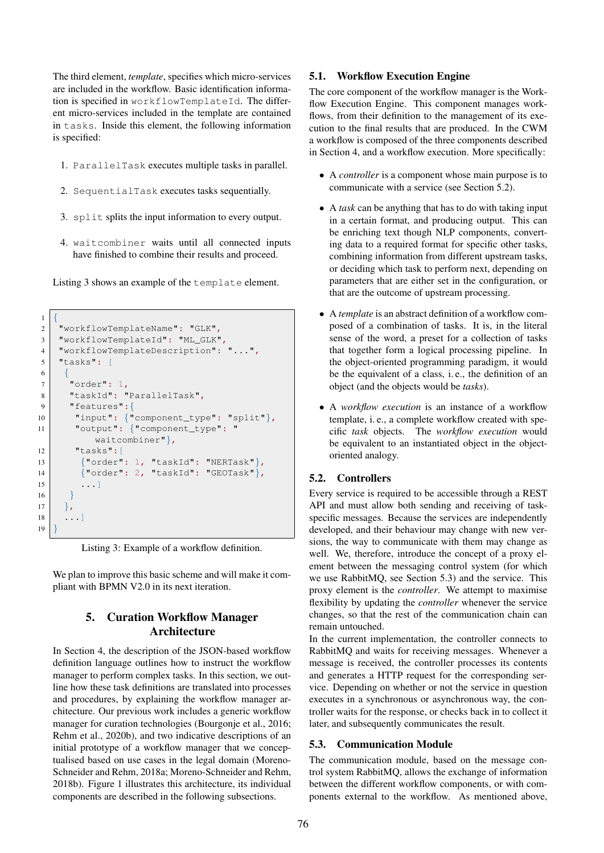The third element, *template*, specifies which micro-services are included in the workflow. Basic identification information is specified in workflowTemplateId. The different micro-services included in the template are contained in tasks. Inside this element, the following information is specified:

- 1. ParallelTask executes multiple tasks in parallel.
- 2. SequentialTask executes tasks sequentially.
- 3. split splits the input information to every output.
- 4. waitcombiner waits until all connected inputs have finished to combine their results and proceed.

Listing [3](#page-3-1) shows an example of the template element.

```
\overline{1}2 "workflowTemplateName": "GLK",
3 "workflowTemplateId": "ML_GLK",
4 "workflowTemplateDescription": "...",
5 "tasks": [
6 {
7 \sqrt{7} \sqrt{7} \sqrt{7} \sqrt{7} \sqrt{7} \sqrt{7} \sqrt{7} \sqrt{7} \sqrt{7} \sqrt{7} \sqrt{7} \sqrt{7} \sqrt{7} \sqrt{7} \sqrt{7} \sqrt{7} \sqrt{7} \sqrt{7} \sqrt{7} \sqrt{7} \sqrt{7} \sqrt{7} \sqrt{7} \sqrt{7} \sqrt{7} \sqrt{7} \sqrt{7} 8 "taskId": "ParallelTask",
9 "features":{
10 "input": {"component_type": "split"},
11 "output": {"component_type": "
                waitcombiner"},
12 "tasks":[
13 \{\text{"order": 1, "taskId": "NERTask"}\},14 {"order": 2, "taskId": "GEOTask"},
15 ...]
16 }
17 \, | \, \cdot \, \},
18 ...]
19 }
```
Listing 3: Example of a workflow definition.

<span id="page-3-0"></span>We plan to improve this basic scheme and will make it compliant with BPMN V2.0 in its next iteration.

## 5. Curation Workflow Manager Architecture

In Section [4,](#page-2-0) the description of the JSON-based workflow definition language outlines how to instruct the workflow manager to perform complex tasks. In this section, we outline how these task definitions are translated into processes and procedures, by explaining the workflow manager architecture. Our previous work includes a generic workflow manager for curation technologies [\(Bourgonje et al., 2016;](#page-5-0) [Rehm et al., 2020b\)](#page-6-0), and two indicative descriptions of an initial prototype of a workflow manager that we conceptualised based on use cases in the legal domain [\(Moreno-](#page-6-4)[Schneider and Rehm, 2018a;](#page-6-4) [Moreno-Schneider and Rehm,](#page-6-5) [2018b\)](#page-6-5). Figure [1](#page-4-1) illustrates this architecture, its individual components are described in the following subsections.

## 5.1. Workflow Execution Engine

The core component of the workflow manager is the Workflow Execution Engine. This component manages workflows, from their definition to the management of its execution to the final results that are produced. In the CWM a workflow is composed of the three components described in Section [4,](#page-2-0) and a workflow execution. More specifically:

- A *controller* is a component whose main purpose is to communicate with a service (see Section [5.2\)](#page-3-2).
- A *task* can be anything that has to do with taking input in a certain format, and producing output. This can be enriching text though NLP components, converting data to a required format for specific other tasks, combining information from different upstream tasks, or deciding which task to perform next, depending on parameters that are either set in the configuration, or that are the outcome of upstream processing.
- A *template* is an abstract definition of a workflow composed of a combination of tasks. It is, in the literal sense of the word, a preset for a collection of tasks that together form a logical processing pipeline. In the object-oriented programming paradigm, it would be the equivalent of a class, i. e., the definition of an object (and the objects would be *tasks*).
- A *workflow execution* is an instance of a workflow template, i. e., a complete workflow created with specific *task* objects. The *workflow execution* would be equivalent to an instantiated object in the objectoriented analogy.

## <span id="page-3-2"></span>5.2. Controllers

Every service is required to be accessible through a REST API and must allow both sending and receiving of taskspecific messages. Because the services are independently developed, and their behaviour may change with new versions, the way to communicate with them may change as well. We, therefore, introduce the concept of a proxy element between the messaging control system (for which we use RabbitMQ, see Section [5.3\)](#page-3-3) and the service. This proxy element is the *controller*. We attempt to maximise flexibility by updating the *controller* whenever the service changes, so that the rest of the communication chain can remain untouched.

In the current implementation, the controller connects to RabbitMQ and waits for receiving messages. Whenever a message is received, the controller processes its contents and generates a HTTP request for the corresponding service. Depending on whether or not the service in question executes in a synchronous or asynchronous way, the controller waits for the response, or checks back in to collect it later, and subsequently communicates the result.

## <span id="page-3-3"></span>5.3. Communication Module

The communication module, based on the message control system RabbitMQ, allows the exchange of information between the different workflow components, or with components external to the workflow. As mentioned above,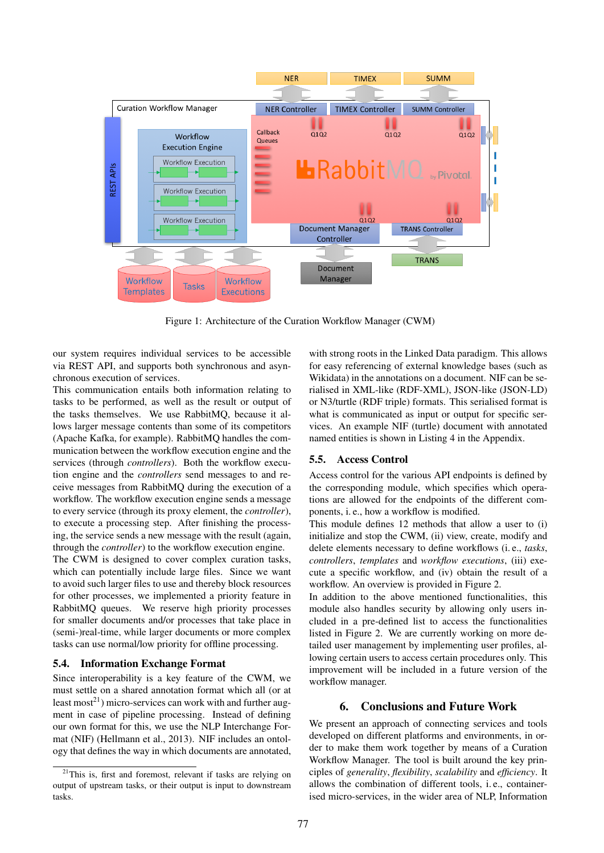

<span id="page-4-1"></span>Figure 1: Architecture of the Curation Workflow Manager (CWM)

our system requires individual services to be accessible via REST API, and supports both synchronous and asynchronous execution of services.

This communication entails both information relating to tasks to be performed, as well as the result or output of the tasks themselves. We use RabbitMQ, because it allows larger message contents than some of its competitors (Apache Kafka, for example). RabbitMQ handles the communication between the workflow execution engine and the services (through *controllers*). Both the workflow execution engine and the *controllers* send messages to and receive messages from RabbitMQ during the execution of a workflow. The workflow execution engine sends a message to every service (through its proxy element, the *controller*), to execute a processing step. After finishing the processing, the service sends a new message with the result (again, through the *controller*) to the workflow execution engine.

The CWM is designed to cover complex curation tasks, which can potentially include large files. Since we want to avoid such larger files to use and thereby block resources for other processes, we implemented a priority feature in RabbitMQ queues. We reserve high priority processes for smaller documents and/or processes that take place in (semi-)real-time, while larger documents or more complex tasks can use normal/low priority for offline processing.

#### 5.4. Information Exchange Format

Since interoperability is a key feature of the CWM, we must settle on a shared annotation format which all (or at least most<sup>[21](#page-4-2)</sup>) micro-services can work with and further augment in case of pipeline processing. Instead of defining our own format for this, we use the NLP Interchange Format (NIF) [\(Hellmann et al., 2013\)](#page-5-3). NIF includes an ontology that defines the way in which documents are annotated, with strong roots in the Linked Data paradigm. This allows for easy referencing of external knowledge bases (such as Wikidata) in the annotations on a document. NIF can be serialised in XML-like (RDF-XML), JSON-like (JSON-LD) or N3/turtle (RDF triple) formats. This serialised format is what is communicated as input or output for specific services. An example NIF (turtle) document with annotated named entities is shown in Listing [4](#page-7-0) in the Appendix.

## 5.5. Access Control

Access control for the various API endpoints is defined by the corresponding module, which specifies which operations are allowed for the endpoints of the different components, i. e., how a workflow is modified.

This module defines 12 methods that allow a user to (i) initialize and stop the CWM, (ii) view, create, modify and delete elements necessary to define workflows (i. e., *tasks*, *controllers*, *templates* and *workflow executions*, (iii) execute a specific workflow, and (iv) obtain the result of a workflow. An overview is provided in Figure [2.](#page-5-6)

In addition to the above mentioned functionalities, this module also handles security by allowing only users included in a pre-defined list to access the functionalities listed in Figure [2.](#page-5-6) We are currently working on more detailed user management by implementing user profiles, allowing certain users to access certain procedures only. This improvement will be included in a future version of the workflow manager.

### 6. Conclusions and Future Work

<span id="page-4-0"></span>We present an approach of connecting services and tools developed on different platforms and environments, in order to make them work together by means of a Curation Workflow Manager. The tool is built around the key principles of *generality*, *flexibility*, *scalability* and *efficiency*. It allows the combination of different tools, i. e., containerised micro-services, in the wider area of NLP, Information

<span id="page-4-2"></span> $21$ This is, first and foremost, relevant if tasks are relying on output of upstream tasks, or their output is input to downstream tasks.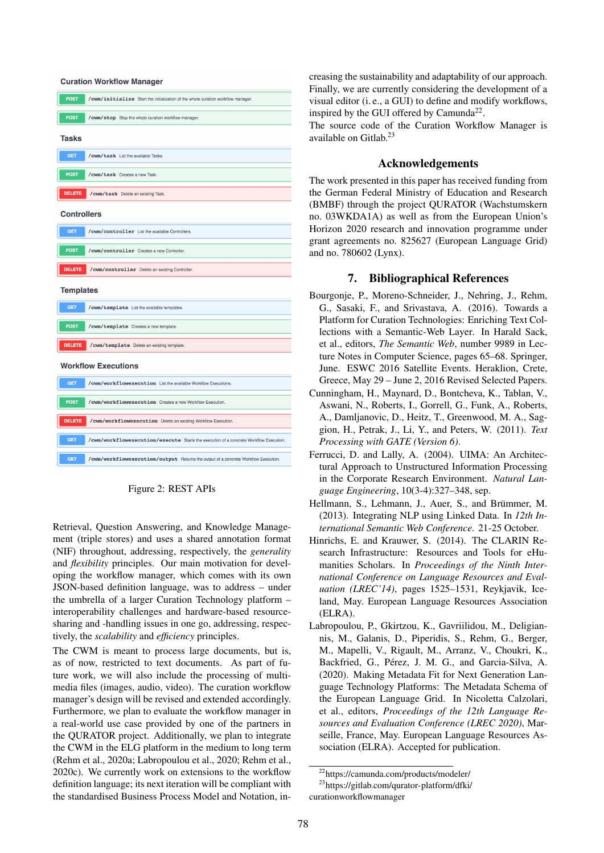

<span id="page-5-6"></span>

Retrieval, Question Answering, and Knowledge Management (triple stores) and uses a shared annotation format (NIF) throughout, addressing, respectively, the *generality* and *flexibility* principles. Our main motivation for developing the workflow manager, which comes with its own JSON-based definition language, was to address – under the umbrella of a larger Curation Technology platform – interoperability challenges and hardware-based resourcesharing and -handling issues in one go, addressing, respectively, the *scalability* and *efficiency* principles.

The CWM is meant to process large documents, but is, as of now, restricted to text documents. As part of future work, we will also include the processing of multimedia files (images, audio, video). The curation workflow manager's design will be revised and extended accordingly. Furthermore, we plan to evaluate the workflow manager in a real-world use case provided by one of the partners in the QURATOR project. Additionally, we plan to integrate the CWM in the ELG platform in the medium to long term [\(Rehm et al., 2020a;](#page-6-2) [Labropoulou et al., 2020;](#page-5-5) [Rehm et al.,](#page-6-6) [2020c\)](#page-6-6). We currently work on extensions to the workflow definition language; its next iteration will be compliant with the standardised Business Process Model and Notation, increasing the sustainability and adaptability of our approach. Finally, we are currently considering the development of a visual editor (i. e., a GUI) to define and modify workflows, inspired by the GUI offered by Camunda<sup>[22](#page-5-7)</sup>.

The source code of the Curation Workflow Manager is available on Gitlab.[23](#page-5-8)

#### Acknowledgements

The work presented in this paper has received funding from the German Federal Ministry of Education and Research (BMBF) through the project QURATOR (Wachstumskern no. 03WKDA1A) as well as from the European Union's Horizon 2020 research and innovation programme under grant agreements no. 825627 (European Language Grid) and no. 780602 (Lynx).

## 7. Bibliographical References

- <span id="page-5-0"></span>Bourgonje, P., Moreno-Schneider, J., Nehring, J., Rehm, G., Sasaki, F., and Srivastava, A. (2016). Towards a Platform for Curation Technologies: Enriching Text Collections with a Semantic-Web Layer. In Harald Sack, et al., editors, *The Semantic Web*, number 9989 in Lecture Notes in Computer Science, pages 65–68. Springer, June. ESWC 2016 Satellite Events. Heraklion, Crete, Greece, May 29 – June 2, 2016 Revised Selected Papers.
- <span id="page-5-1"></span>Cunningham, H., Maynard, D., Bontcheva, K., Tablan, V., Aswani, N., Roberts, I., Gorrell, G., Funk, A., Roberts, A., Damljanovic, D., Heitz, T., Greenwood, M. A., Saggion, H., Petrak, J., Li, Y., and Peters, W. (2011). *Text Processing with GATE (Version 6)*.
- <span id="page-5-2"></span>Ferrucci, D. and Lally, A. (2004). UIMA: An Architectural Approach to Unstructured Information Processing in the Corporate Research Environment. *Natural Language Engineering*, 10(3-4):327–348, sep.
- <span id="page-5-3"></span>Hellmann, S., Lehmann, J., Auer, S., and Brümmer, M. (2013). Integrating NLP using Linked Data. In *12th International Semantic Web Conference*. 21-25 October.
- <span id="page-5-4"></span>Hinrichs, E. and Krauwer, S. (2014). The CLARIN Research Infrastructure: Resources and Tools for eHumanities Scholars. In *Proceedings of the Ninth International Conference on Language Resources and Evaluation (LREC'14)*, pages 1525–1531, Reykjavik, Iceland, May. European Language Resources Association (ELRA).
- <span id="page-5-5"></span>Labropoulou, P., Gkirtzou, K., Gavriilidou, M., Deligiannis, M., Galanis, D., Piperidis, S., Rehm, G., Berger, M., Mapelli, V., Rigault, M., Arranz, V., Choukri, K., Backfried, G., Pérez, J. M. G., and Garcia-Silva, A. (2020). Making Metadata Fit for Next Generation Language Technology Platforms: The Metadata Schema of the European Language Grid. In Nicoletta Calzolari, et al., editors, *Proceedings of the 12th Language Resources and Evaluation Conference (LREC 2020)*, Marseille, France, May. European Language Resources Association (ELRA). Accepted for publication.

<span id="page-5-8"></span><span id="page-5-7"></span><sup>22</sup><https://camunda.com/products/modeler/>

<sup>23</sup>[https://gitlab.com/qurator-platform/dfki/](https://gitlab.com/qurator-platform/dfki/curationworkflowmanager) [curationworkflowmanager](https://gitlab.com/qurator-platform/dfki/curationworkflowmanager)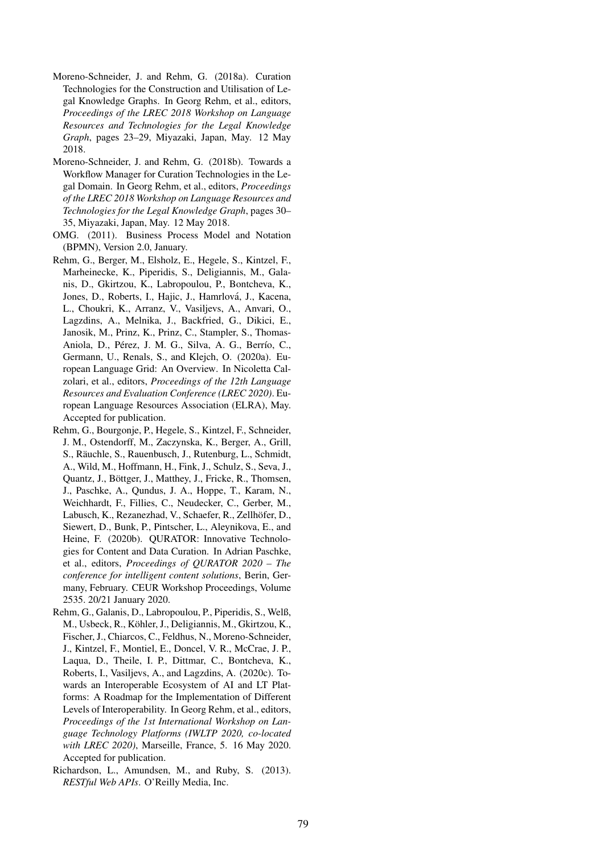- <span id="page-6-4"></span>Moreno-Schneider, J. and Rehm, G. (2018a). Curation Technologies for the Construction and Utilisation of Legal Knowledge Graphs. In Georg Rehm, et al., editors, *Proceedings of the LREC 2018 Workshop on Language Resources and Technologies for the Legal Knowledge Graph*, pages 23–29, Miyazaki, Japan, May. 12 May 2018.
- <span id="page-6-5"></span>Moreno-Schneider, J. and Rehm, G. (2018b). Towards a Workflow Manager for Curation Technologies in the Legal Domain. In Georg Rehm, et al., editors, *Proceedings of the LREC 2018 Workshop on Language Resources and Technologies for the Legal Knowledge Graph*, pages 30– 35, Miyazaki, Japan, May. 12 May 2018.
- <span id="page-6-1"></span>OMG. (2011). Business Process Model and Notation (BPMN), Version 2.0, January.
- <span id="page-6-2"></span>Rehm, G., Berger, M., Elsholz, E., Hegele, S., Kintzel, F., Marheinecke, K., Piperidis, S., Deligiannis, M., Galanis, D., Gkirtzou, K., Labropoulou, P., Bontcheva, K., Jones, D., Roberts, I., Hajic, J., Hamrlová, J., Kacena, L., Choukri, K., Arranz, V., Vasiljevs, A., Anvari, O., Lagzdins, A., Melnika, J., Backfried, G., Dikici, E., Janosik, M., Prinz, K., Prinz, C., Stampler, S., Thomas-Aniola, D., Pérez, J. M. G., Silva, A. G., Berrío, C., Germann, U., Renals, S., and Klejch, O. (2020a). European Language Grid: An Overview. In Nicoletta Calzolari, et al., editors, *Proceedings of the 12th Language Resources and Evaluation Conference (LREC 2020)*. European Language Resources Association (ELRA), May. Accepted for publication.
- <span id="page-6-0"></span>Rehm, G., Bourgonje, P., Hegele, S., Kintzel, F., Schneider, J. M., Ostendorff, M., Zaczynska, K., Berger, A., Grill, S., Räuchle, S., Rauenbusch, J., Rutenburg, L., Schmidt, A., Wild, M., Hoffmann, H., Fink, J., Schulz, S., Seva, J., Quantz, J., Böttger, J., Matthey, J., Fricke, R., Thomsen, J., Paschke, A., Qundus, J. A., Hoppe, T., Karam, N., Weichhardt, F., Fillies, C., Neudecker, C., Gerber, M., Labusch, K., Rezanezhad, V., Schaefer, R., Zellhöfer, D., Siewert, D., Bunk, P., Pintscher, L., Aleynikova, E., and Heine, F. (2020b). QURATOR: Innovative Technologies for Content and Data Curation. In Adrian Paschke, et al., editors, *Proceedings of QURATOR 2020 – The conference for intelligent content solutions*, Berin, Germany, February. CEUR Workshop Proceedings, Volume 2535. 20/21 January 2020.
- <span id="page-6-6"></span>Rehm, G., Galanis, D., Labropoulou, P., Piperidis, S., Welß, M., Usbeck, R., Kohler, J., Deligiannis, M., Gkirtzou, K., ¨ Fischer, J., Chiarcos, C., Feldhus, N., Moreno-Schneider, J., Kintzel, F., Montiel, E., Doncel, V. R., McCrae, J. P., Laqua, D., Theile, I. P., Dittmar, C., Bontcheva, K., Roberts, I., Vasiljevs, A., and Lagzdins, A. (2020c). Towards an Interoperable Ecosystem of AI and LT Platforms: A Roadmap for the Implementation of Different Levels of Interoperability. In Georg Rehm, et al., editors, *Proceedings of the 1st International Workshop on Language Technology Platforms (IWLTP 2020, co-located with LREC 2020)*, Marseille, France, 5. 16 May 2020. Accepted for publication.
- <span id="page-6-3"></span>Richardson, L., Amundsen, M., and Ruby, S. (2013). *RESTful Web APIs*. O'Reilly Media, Inc.